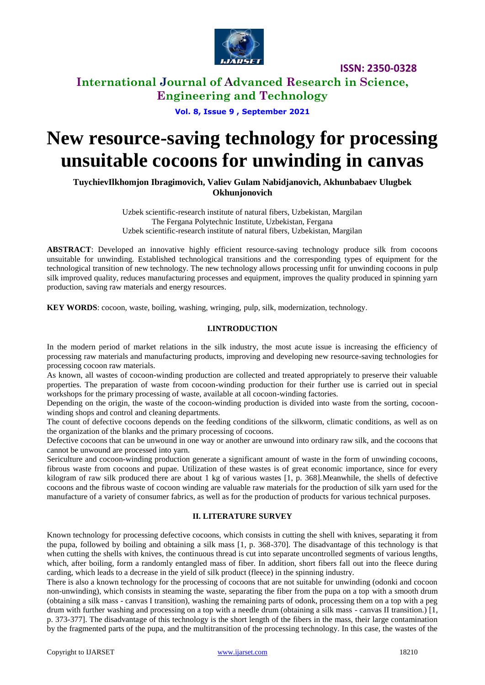

## **International Journal of Advanced Research in Science, Engineering and Technology**

**Vol. 8, Issue 9 , September 2021**

# **New resource-saving technology for processing unsuitable cocoons for unwinding in canvas**

**TuychievIlkhomjon Ibragimovich, Valiev Gulam Nabidjanovich, Akhunbabaev Ulugbek Okhunjonovich**

> Uzbek scientific-research institute of natural fibers, Uzbekistan, Margilan The Fergana Polytechnic Institute, Uzbekistan, Fergana Uzbek scientific-research institute of natural fibers, Uzbekistan, Margilan

**ABSTRACT**: Developed an innovative highly efficient resource-saving technology produce silk from cocoons unsuitable for unwinding. Established technological transitions and the corresponding types of equipment for the technological transition of new technology. The new technology allows processing unfit for unwinding cocoons in pulp silk improved quality, reduces manufacturing processes and equipment, improves the quality produced in spinning yarn production, saving raw materials and energy resources.

**KEY WORDS**: cocoon, waste, boiling, washing, wringing, pulp, silk, modernization, technology.

#### **I.INTRODUCTION**

In the modern period of market relations in the silk industry, the most acute issue is increasing the efficiency of processing raw materials and manufacturing products, improving and developing new resource-saving technologies for processing cocoon raw materials.

As known, all wastes of cocoon-winding production are collected and treated appropriately to preserve their valuable properties. The preparation of waste from cocoon-winding production for their further use is carried out in special workshops for the primary processing of waste, available at all cocoon-winding factories.

Depending on the origin, the waste of the cocoon-winding production is divided into waste from the sorting, cocoonwinding shops and control and cleaning departments.

The count of defective cocoons depends on the feeding conditions of the silkworm, climatic conditions, as well as on the organization of the blanks and the primary processing of cocoons.

Defective cocoons that can be unwound in one way or another are unwound into ordinary raw silk, and the cocoons that cannot be unwound are processed into yarn.

Sericulture and cocoon-winding production generate a significant amount of waste in the form of unwinding cocoons, fibrous waste from cocoons and pupae. Utilization of these wastes is of great economic importance, since for every kilogram of raw silk produced there are about 1 kg of various wastes [1, p. 368].Meanwhile, the shells of defective cocoons and the fibrous waste of cocoon winding are valuable raw materials for the production of silk yarn used for the manufacture of a variety of consumer fabrics, as well as for the production of products for various technical purposes.

#### **II. LITERATURE SURVEY**

Known technology for processing defective cocoons, which consists in cutting the shell with knives, separating it from the pupa, followed by boiling and obtaining a silk mass [1, p. 368-370]. The disadvantage of this technology is that when cutting the shells with knives, the continuous thread is cut into separate uncontrolled segments of various lengths, which, after boiling, form a randomly entangled mass of fiber. In addition, short fibers fall out into the fleece during carding, which leads to a decrease in the yield of silk product (fleece) in the spinning industry.

There is also a known technology for the processing of cocoons that are not suitable for unwinding (odonki and cocoon non-unwinding), which consists in steaming the waste, separating the fiber from the pupa on a top with a smooth drum (obtaining a silk mass - canvas I transition), washing the remaining parts of odonk, processing them on a top with a peg drum with further washing and processing on a top with a needle drum (obtaining a silk mass - canvas II transition.) [1, p. 373-377]. The disadvantage of this technology is the short length of the fibers in the mass, their large contamination by the fragmented parts of the pupa, and the multitransition of the processing technology. In this case, the wastes of the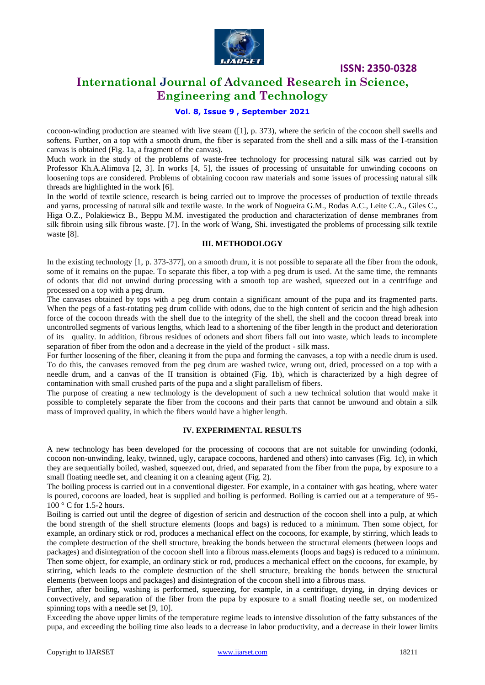

## **International Journal of Advanced Research in Science, Engineering and Technology**

#### **Vol. 8, Issue 9 , September 2021**

cocoon-winding production are steamed with live steam ([1], p. 373), where the sericin of the cocoon shell swells and softens. Further, on a top with a smooth drum, the fiber is separated from the shell and a silk mass of the I-transition canvas is obtained (Fig. 1a, a fragment of the canvas).

Much work in the study of the problems of waste-free technology for processing natural silk was carried out by Professor Kh.A.Alimova [2, 3]. In works [4, 5], the issues of processing of unsuitable for unwinding cocoons on loosening tops are considered. Problems of obtaining cocoon raw materials and some issues of processing natural silk threads are highlighted in the work [6].

In the world of textile science, research is being carried out to improve the processes of production of textile threads and yarns, processing of natural silk and textile waste. In the work of Nogueira G.M., Rodas A.C., Leite C.A., Giles C., Higa O.Z., Polakiewicz B., Beppu M.M. investigated the production and characterization of dense membranes from silk fibroin using silk fibrous waste. [7]. In the work of Wang, Shi. investigated the problems of processing silk textile waste [8].

#### **III. METHODOLOGY**

In the existing technology [1, p. 373-377], on a smooth drum, it is not possible to separate all the fiber from the odonk, some of it remains on the pupae. To separate this fiber, a top with a peg drum is used. At the same time, the remnants of odonts that did not unwind during processing with a smooth top are washed, squeezed out in a centrifuge and processed on a top with a peg drum.

The canvases obtained by tops with a peg drum contain a significant amount of the pupa and its fragmented parts. When the pegs of a fast-rotating peg drum collide with odons, due to the high content of sericin and the high adhesion force of the cocoon threads with the shell due to the integrity of the shell, the shell and the cocoon thread break into uncontrolled segments of various lengths, which lead to a shortening of the fiber length in the product and deterioration of its quality. In addition, fibrous residues of odonets and short fibers fall out into waste, which leads to incomplete separation of fiber from the odon and a decrease in the yield of the product - silk mass.

For further loosening of the fiber, cleaning it from the pupa and forming the canvases, a top with a needle drum is used. To do this, the canvases removed from the peg drum are washed twice, wrung out, dried, processed on a top with a needle drum, and a canvas of the II transition is obtained (Fig. 1b), which is characterized by a high degree of contamination with small crushed parts of the pupa and a slight parallelism of fibers.

The purpose of creating a new technology is the development of such a new technical solution that would make it possible to completely separate the fiber from the cocoons and their parts that cannot be unwound and obtain a silk mass of improved quality, in which the fibers would have a higher length.

#### **IV. EXPERIMENTAL RESULTS**

A new technology has been developed for the processing of cocoons that are not suitable for unwinding (odonki, cocoon non-unwinding, leaky, twinned, ugly, carapace cocoons, hardened and others) into canvases (Fig. 1c), in which they are sequentially boiled, washed, squeezed out, dried, and separated from the fiber from the pupa, by exposure to a small floating needle set, and cleaning it on a cleaning agent (Fig. 2).

The boiling process is carried out in a conventional digester. For example, in a container with gas heating, where water is poured, cocoons are loaded, heat is supplied and boiling is performed. Boiling is carried out at a temperature of 95- 100 ° C for 1.5-2 hours.

Boiling is carried out until the degree of digestion of sericin and destruction of the cocoon shell into a pulp, at which the bond strength of the shell structure elements (loops and bags) is reduced to a minimum. Then some object, for example, an ordinary stick or rod, produces a mechanical effect on the cocoons, for example, by stirring, which leads to the complete destruction of the shell structure, breaking the bonds between the structural elements (between loops and packages) and disintegration of the cocoon shell into a fibrous mass.elements (loops and bags) is reduced to a minimum. Then some object, for example, an ordinary stick or rod, produces a mechanical effect on the cocoons, for example, by stirring, which leads to the complete destruction of the shell structure, breaking the bonds between the structural elements (between loops and packages) and disintegration of the cocoon shell into a fibrous mass.

Further, after boiling, washing is performed, squeezing, for example, in a centrifuge, drying, in drying devices or convectively, and separation of the fiber from the pupa by exposure to a small floating needle set, on modernized spinning tops with a needle set [9, 10].

Exceeding the above upper limits of the temperature regime leads to intensive dissolution of the fatty substances of the pupa, and exceeding the boiling time also leads to a decrease in labor productivity, and a decrease in their lower limits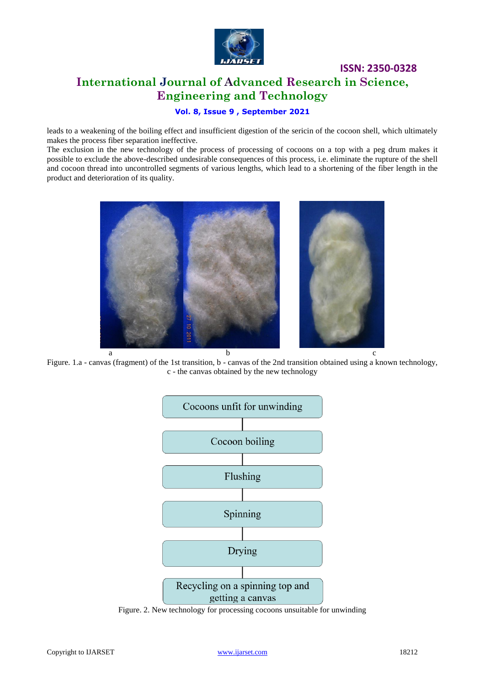

## **ISSN: 2350-0328 International Journal of Advanced Research in Science, Engineering and Technology**

#### **Vol. 8, Issue 9 , September 2021**

leads to a weakening of the boiling effect and insufficient digestion of the sericin of the cocoon shell, which ultimately makes the process fiber separation ineffective.

The exclusion in the new technology of the process of processing of cocoons on a top with a peg drum makes it possible to exclude the above-described undesirable consequences of this process, i.e. eliminate the rupture of the shell and cocoon thread into uncontrolled segments of various lengths, which lead to a shortening of the fiber length in the product and deterioration of its quality.



Figure. 1.a - canvas (fragment) of the 1st transition, b - canvas of the 2nd transition obtained using a known technology, c - the canvas obtained by the new technology



Figure. 2. New technology for processing cocoons unsuitable for unwinding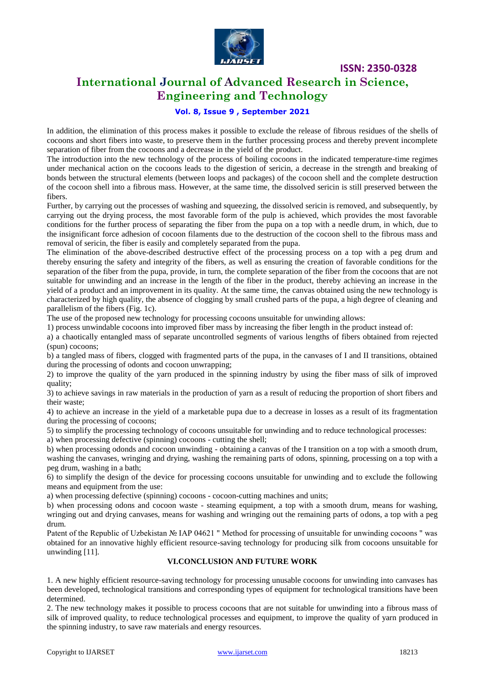

## **International Journal of Advanced Research in Science, Engineering and Technology**

#### **Vol. 8, Issue 9 , September 2021**

In addition, the elimination of this process makes it possible to exclude the release of fibrous residues of the shells of cocoons and short fibers into waste, to preserve them in the further processing process and thereby prevent incomplete separation of fiber from the cocoons and a decrease in the yield of the product.

The introduction into the new technology of the process of boiling cocoons in the indicated temperature-time regimes under mechanical action on the cocoons leads to the digestion of sericin, a decrease in the strength and breaking of bonds between the structural elements (between loops and packages) of the cocoon shell and the complete destruction of the cocoon shell into a fibrous mass. However, at the same time, the dissolved sericin is still preserved between the fibers.

Further, by carrying out the processes of washing and squeezing, the dissolved sericin is removed, and subsequently, by carrying out the drying process, the most favorable form of the pulp is achieved, which provides the most favorable conditions for the further process of separating the fiber from the pupa on a top with a needle drum, in which, due to the insignificant force adhesion of cocoon filaments due to the destruction of the cocoon shell to the fibrous mass and removal of sericin, the fiber is easily and completely separated from the pupa.

The elimination of the above-described destructive effect of the processing process on a top with a peg drum and thereby ensuring the safety and integrity of the fibers, as well as ensuring the creation of favorable conditions for the separation of the fiber from the pupa, provide, in turn, the complete separation of the fiber from the cocoons that are not suitable for unwinding and an increase in the length of the fiber in the product, thereby achieving an increase in the yield of a product and an improvement in its quality. At the same time, the canvas obtained using the new technology is characterized by high quality, the absence of clogging by small crushed parts of the pupa, a high degree of cleaning and parallelism of the fibers (Fig. 1c).

The use of the proposed new technology for processing cocoons unsuitable for unwinding allows:

1) process unwindable cocoons into improved fiber mass by increasing the fiber length in the product instead of:

a) a chaotically entangled mass of separate uncontrolled segments of various lengths of fibers obtained from rejected (spun) cocoons;

b) a tangled mass of fibers, clogged with fragmented parts of the pupa, in the canvases of I and II transitions, obtained during the processing of odonts and cocoon unwrapping;

2) to improve the quality of the yarn produced in the spinning industry by using the fiber mass of silk of improved quality;

3) to achieve savings in raw materials in the production of yarn as a result of reducing the proportion of short fibers and their waste;

4) to achieve an increase in the yield of a marketable pupa due to a decrease in losses as a result of its fragmentation during the processing of cocoons;

5) to simplify the processing technology of cocoons unsuitable for unwinding and to reduce technological processes:

a) when processing defective (spinning) cocoons - cutting the shell;

b) when processing odonds and cocoon unwinding - obtaining a canvas of the I transition on a top with a smooth drum, washing the canvases, wringing and drying, washing the remaining parts of odons, spinning, processing on a top with a peg drum, washing in a bath;

6) to simplify the design of the device for processing cocoons unsuitable for unwinding and to exclude the following means and equipment from the use:

a) when processing defective (spinning) cocoons - cocoon-cutting machines and units;

b) when processing odons and cocoon waste - steaming equipment, a top with a smooth drum, means for washing, wringing out and drying canvases, means for washing and wringing out the remaining parts of odons, a top with a peg drum.

Patent of the Republic of Uzbekistan № IAP 04621 " Method for processing of unsuitable for unwinding cocoons " was obtained for an innovative highly efficient resource-saving technology for producing silk from cocoons unsuitable for unwinding [11].

#### **VI.CONCLUSION AND FUTURE WORK**

1. A new highly efficient resource-saving technology for processing unusable cocoons for unwinding into canvases has been developed, technological transitions and corresponding types of equipment for technological transitions have been determined.

2. The new technology makes it possible to process cocoons that are not suitable for unwinding into a fibrous mass of silk of improved quality, to reduce technological processes and equipment, to improve the quality of yarn produced in the spinning industry, to save raw materials and energy resources.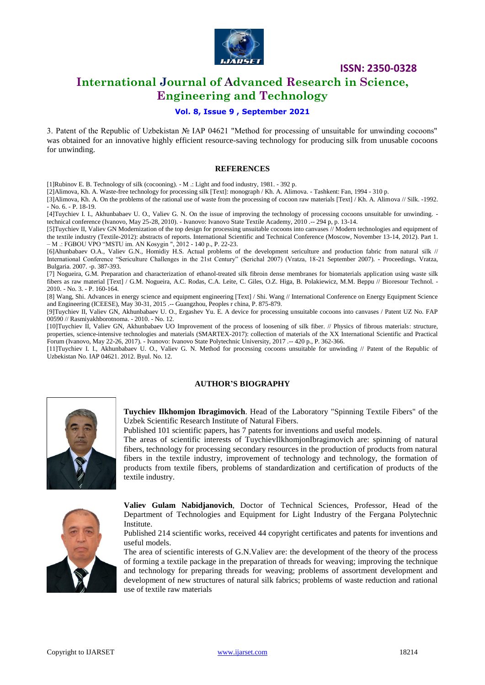

## **International Journal of Advanced Research in Science, Engineering and Technology**

#### **Vol. 8, Issue 9 , September 2021**

3. Patent of the Republic of Uzbekistan № IAP 04621 "Method for processing of unsuitable for unwinding cocoons" was obtained for an innovative highly efficient resource-saving technology for producing silk from unusable cocoons for unwinding.

#### **REFERENCES**

[1]Rubinov E. B. Technology of silk (cocooning). - M .: Light and food industry, 1981. - 392 p.

[2]Alimova, Kh. A. Waste-free technology for processing silk [Text]: monograph / Kh. A. Alimova. - Tashkent: Fan, 1994 - 310 p.

[3]Alimova, Kh. A. On the problems of the rational use of waste from the processing of cocoon raw materials [Text] / Kh. A. Alimova // Silk. -1992. - No. 6. - P. 18-19.

[4]Tuychiev I. I., Akhunbabaev U. O., Valiev G. N. On the issue of improving the technology of processing cocoons unsuitable for unwinding. technical conference (Ivanovo, May 25-28, 2010). - Ivanovo: Ivanovo State Textile Academy, 2010 .-- 294 p, p. 13-14.

[5]Tuychiev II, Valiev GN Modernization of the top design for processing unsuitable cocoons into canvases // Modern technologies and equipment of the textile industry (Textile-2012): abstracts of reports. International Scientific and Technical Conference (Moscow, November 13-14, 2012). Part 1. – M .: FGBOU VPO "MSTU im. AN Kosygin ", 2012 - 140 p., P. 22-23.

[6]Ahunbabaev O.A., Valiev G.N., Homidiy H.S. Actual problems of the development sericulture and production fabric from natural silk // International Conference "Sericulture Challenges in the 21st Century" (Serichal 2007) (Vratza, 18-21 September 2007). - Proceedings. Vratza, Bulgaria. 2007. -p. 387-393.

[7] Nogueira, G.M. Preparation and characterization of ethanol-treated silk fibroin dense membranes for biomaterials application using waste silk fibers as raw material [Text] / G.M. Nogueira, A.C. Rodas, C.A. Leite, C. Giles, O.Z. Higa, B. Polakiewicz, M.M. Beppu // Bioresour Technol. -2010. - No. 3. - P. 160-164.

[8] Wang, Shi. Advances in energy science and equipment engineering [Text] / Shi. Wang // International Conference on Energy Equipment Science and Engineering (ICEESE), May 30-31, 2015 .-- Guangzhou, Peoples r china, P. 875-879.

[9]Tuychiev II, Valiev GN, Akhunbabaev U. O., Ergashev Yu. E. A device for processing unsuitable cocoons into canvases / Patent UZ No. FAP 00590 // Rasmiyakhborotnoma. - 2010. - No. 12.

[10]Tuychiev II, Valiev GN, Akhunbabaev UO Improvement of the process of loosening of silk fiber. // Physics of fibrous materials: structure, properties, science-intensive technologies and materials (SMARTEX-2017): collection of materials of the XX International Scientific and Practical Forum (Ivanovo, May 22-26, 2017). - Ivanovo: Ivanovo State Polytechnic University, 2017 .-- 420 p., P. 362-366.

[11]Tuychiev I. I., Akhunbabaev U. O., Valiev G. N. Method for processing cocoons unsuitable for unwinding // Patent of the Republic of Uzbekistan No. IAP 04621. 2012. Byul. No. 12.

#### **AUTHOR'S BIOGRAPHY**



**Tuychiev Ilkhomjon Ibragimovich**. Head of the Laboratory "Spinning Textile Fibers" of the Uzbek Scientific Research Institute of Natural Fibers.

Published 101 scientific papers, has 7 patents for inventions and useful models.

The areas of scientific interests of TuychievIlkhomjonIbragimovich are: spinning of natural fibers, technology for processing secondary resources in the production of products from natural fibers in the textile industry, improvement of technology and technology, the formation of products from textile fibers, problems of standardization and certification of products of the textile industry.



**Valiev Gulam Nabidjanovich**, Doctor of Technical Sciences, Professor, Head of the Department of Technologies and Equipment for Light Industry of the Fergana Polytechnic Institute.

Published 214 scientific works, received 44 copyright certificates and patents for inventions and useful models.

The area of scientific interests of G.N.Valiev are: the development of the theory of the process of forming a textile package in the preparation of threads for weaving; improving the technique and technology for preparing threads for weaving; problems of assortment development and development of new structures of natural silk fabrics; problems of waste reduction and rational use of textile raw materials